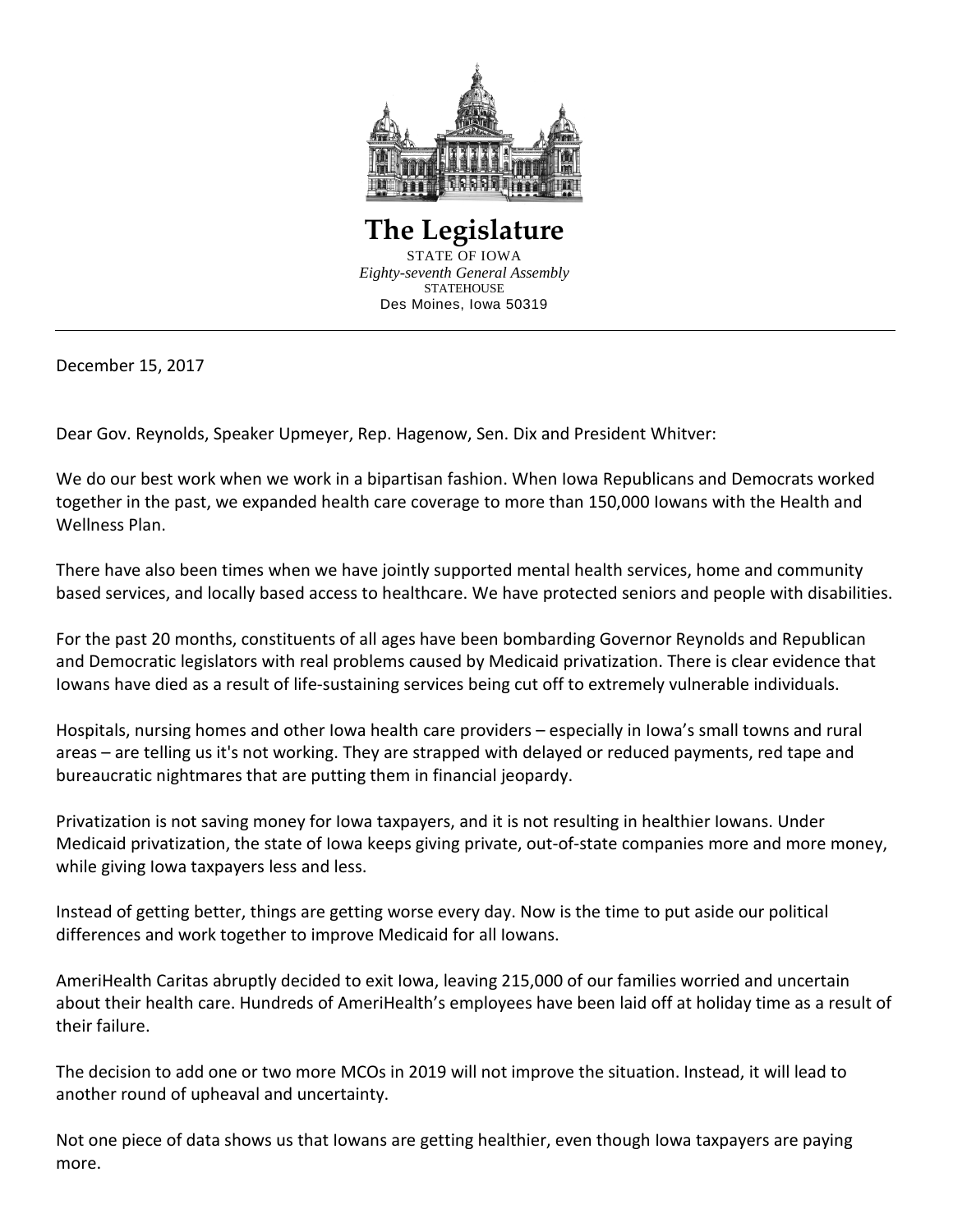

**The Legislature**  STATE OF IOWA *Eighty-seventh General Assembly* **STATEHOUSE** Des Moines, Iowa 50319

December 15, 2017

Dear Gov. Reynolds, Speaker Upmeyer, Rep. Hagenow, Sen. Dix and President Whitver:

We do our best work when we work in a bipartisan fashion. When Iowa Republicans and Democrats worked together in the past, we expanded health care coverage to more than 150,000 Iowans with the Health and Wellness Plan.

There have also been times when we have jointly supported mental health services, home and community based services, and locally based access to healthcare. We have protected seniors and people with disabilities.

For the past 20 months, constituents of all ages have been bombarding Governor Reynolds and Republican and Democratic legislators with real problems caused by Medicaid privatization. There is clear evidence that Iowans have died as a result of life-sustaining services being cut off to extremely vulnerable individuals.

Hospitals, nursing homes and other Iowa health care providers – especially in Iowa's small towns and rural areas – are telling us it's not working. They are strapped with delayed or reduced payments, red tape and bureaucratic nightmares that are putting them in financial jeopardy.

Privatization is not saving money for Iowa taxpayers, and it is not resulting in healthier Iowans. Under Medicaid privatization, the state of Iowa keeps giving private, out-of-state companies more and more money, while giving Iowa taxpayers less and less.

Instead of getting better, things are getting worse every day. Now is the time to put aside our political differences and work together to improve Medicaid for all Iowans.

AmeriHealth Caritas abruptly decided to exit Iowa, leaving 215,000 of our families worried and uncertain about their health care. Hundreds of AmeriHealth's employees have been laid off at holiday time as a result of their failure.

The decision to add one or two more MCOs in 2019 will not improve the situation. Instead, it will lead to another round of upheaval and uncertainty.

Not one piece of data shows us that Iowans are getting healthier, even though Iowa taxpayers are paying more.